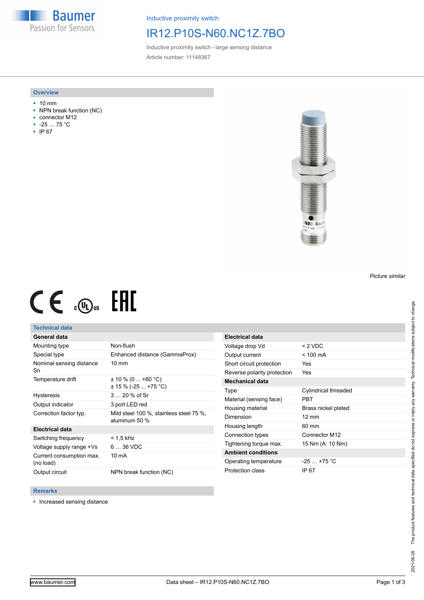**Baumer** Passion for Sensors

Inductive proximity switch

## IR12.P10S-N60.NC1Z.7BO

Inductive proximity switch - large sensing distance Article number: 11148367

### **Overview**

- 10 mm
- NPN break function (NC)
- connector M12
- -25 … 75 °C
- IP 67



# $CE \mathcal{L}$  (Dus FHI

## **Technical data**

## **General data**

| Mounting type                         | Non-flush                                                |
|---------------------------------------|----------------------------------------------------------|
| Special type                          | Enhanced distance (GammaProx)                            |
| Nominal sensing distance<br>Sn        | $10 \text{ mm}$                                          |
| Temperature drift                     | $\pm$ 10 % (0  +60 °C)<br>$\pm$ 15 % (-25  +75 °C)       |
| <b>Hysteresis</b>                     | $320%$ of Sr                                             |
| Output indicator                      | 3 port LED red                                           |
| Correction factor typ.                | Mild steel 100 %, stainless steel 75 %,<br>aluminum 50 % |
| <b>Electrical data</b>                |                                                          |
| Switching frequency                   | < 1.5 kHz                                                |
| Voltage supply range +Vs              | $636$ VDC                                                |
| Current consumption max.<br>(no load) | 10 mA                                                    |
| Output circuit                        | NPN break function (NC)                                  |

| <b>Electrical data</b>      |                      |
|-----------------------------|----------------------|
| Voltage drop Vd             | $< 2$ VDC            |
| Output current              | $<$ 100 mA           |
| Short circuit protection    | Yes                  |
| Reverse polarity protection | Yes                  |
| <b>Mechanical data</b>      |                      |
| Type                        | Cylindrical threaded |
| Material (sensing face)     | PRT                  |
| Housing material            | Brass nickel plated  |
| Dimension                   | $12 \text{ mm}$      |
| Housing length              | 60 mm                |
| Connection types            | Connector M12        |
| Tightening torque max.      | 15 Nm (A: 10 Nm)     |
| <b>Ambient conditions</b>   |                      |
| Operating temperature       | $-25$ $+75$ °C       |
| Protection class            | IP 67                |

#### **Remarks**

■ Increased sensing distance

*Picture similar*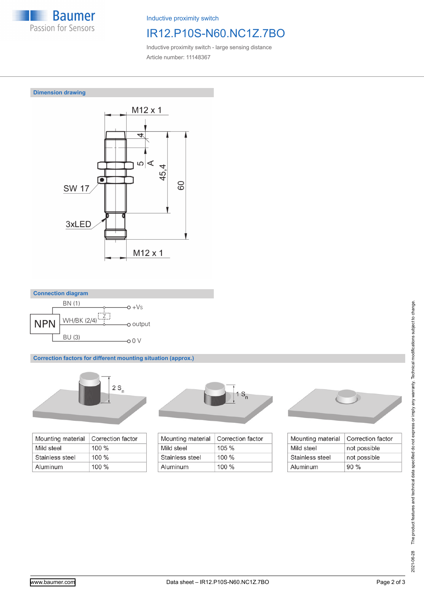

Inductive proximity switch

# IR12.P10S-N60.NC1Z.7BO

Inductive proximity switch - large sensing distance Article number: 11148367







**Correction factors for different mounting situation (approx.)**



| Mounting material | Correction factor |
|-------------------|-------------------|
| Mild steel        | $100\%$           |
| Stainless steel   | $100 \%$          |
| Aluminum          | $100\%$           |



| Mounting material | Correction factor |
|-------------------|-------------------|
| Mild steel        | $105 \%$          |
| Stainless steel   | $100\%$           |
| Aluminum          | $100\%$           |



| Mounting material | <b>Correction factor</b> |
|-------------------|--------------------------|
| Mild steel        | not possible             |
| Stainless steel   | not possible             |
| Aluminum          | 90%                      |